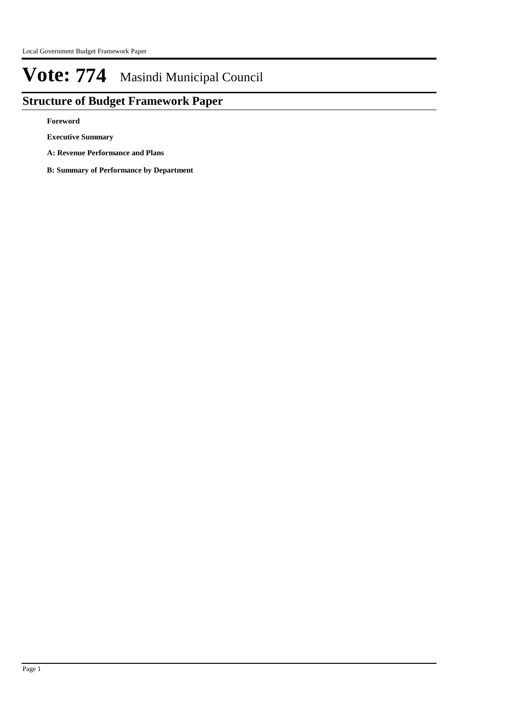## **Structure of Budget Framework Paper**

**Foreword**

**Executive Summary**

**A: Revenue Performance and Plans**

**B: Summary of Performance by Department**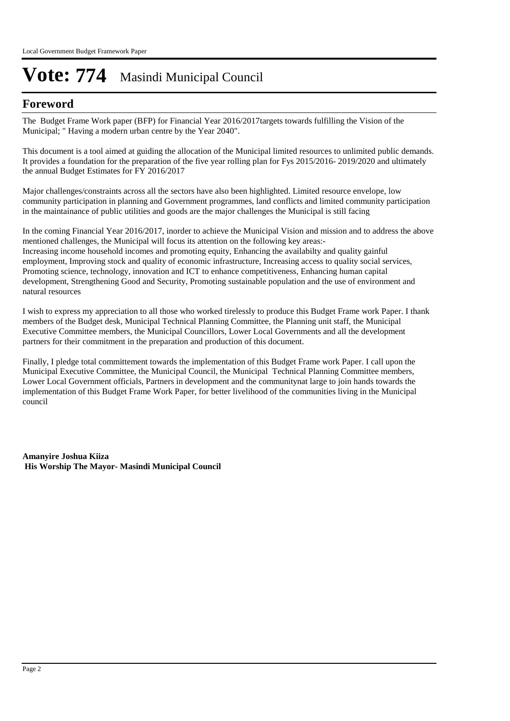### **Foreword**

The Budget Frame Work paper (BFP) for Financial Year 2016/2017targets towards fulfilling the Vision of the Municipal; " Having a modern urban centre by the Year 2040".

This document is a tool aimed at guiding the allocation of the Municipal limited resources to unlimited public demands. It provides a foundation for the preparation of the five year rolling plan for Fys 2015/2016- 2019/2020 and ultimately the annual Budget Estimates for FY 2016/2017

Major challenges/constraints across all the sectors have also been highlighted. Limited resource envelope, low community participation in planning and Government programmes, land conflicts and limited community participation in the maintainance of public utilities and goods are the major challenges the Municipal is still facing

In the coming Financial Year 2016/2017, inorder to achieve the Municipal Vision and mission and to address the above mentioned challenges, the Municipal will focus its attention on the following key areas:- Increasing income household incomes and promoting equity, Enhancing the availabilty and quality gainful employment, Improving stock and quality of economic infrastructure, Increasing access to quality social services, Promoting science, technology, innovation and ICT to enhance competitiveness, Enhancing human capital development, Strengthening Good and Security, Promoting sustainable population and the use of environment and natural resources

I wish to express my appreciation to all those who worked tirelessly to produce this Budget Frame work Paper. I thank members of the Budget desk, Municipal Technical Planning Committee, the Planning unit staff, the Municipal Executive Committee members, the Municipal Councillors, Lower Local Governments and all the development partners for their commitment in the preparation and production of this document.

Finally, I pledge total committement towards the implementation of this Budget Frame work Paper. I call upon the Municipal Executive Committee, the Municipal Council, the Municipal Technical Planning Committee members, Lower Local Government officials, Partners in development and the communitynat large to join hands towards the implementation of this Budget Frame Work Paper, for better livelihood of the communities living in the Municipal council

**Amanyire Joshua Kiiza His Worship The Mayor- Masindi Municipal Council**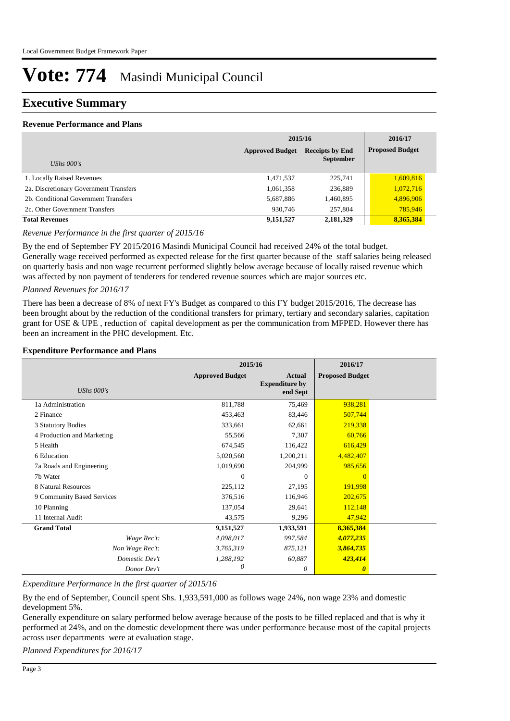### **Executive Summary**

#### **Revenue Performance and Plans**

|                                        | 2015/16                | 2016/17                                    |                        |
|----------------------------------------|------------------------|--------------------------------------------|------------------------|
| UShs $000's$                           | <b>Approved Budget</b> | <b>Receipts by End</b><br><b>September</b> | <b>Proposed Budget</b> |
| 1. Locally Raised Revenues             | 1,471,537              | 225,741                                    | 1,609,816              |
| 2a. Discretionary Government Transfers | 1,061,358              | 236,889                                    | 1,072,716              |
| 2b. Conditional Government Transfers   | 5,687,886              | 1,460,895                                  | 4,896,906              |
| 2c. Other Government Transfers         | 930,746                | 257,804                                    | 785,946                |
| <b>Total Revenues</b>                  | 9,151,527              | 2,181,329                                  | 8,365,384              |

*Revenue Performance in the first quarter of 2015/16*

By the end of September FY 2015/2016 Masindi Municipal Council had received 24% of the total budget. Generally wage received performed as expected release for the first quarter because of the staff salaries being released on quarterly basis and non wage recurrent performed slightly below average because of locally raised revenue which was affected by non payment of tenderers for tendered revenue sources which are major sources etc.

#### *Planned Revenues for 2016/17*

There has been a decrease of 8% of next FY's Budget as compared to this FY budget 2015/2016, The decrease has been brought about by the reduction of the conditional transfers for primary, tertiary and secondary salaries, capitation grant for USE & UPE , reduction of capital development as per the communication from MFPED. However there has been an increament in the PHC development. Etc.

#### **Expenditure Performance and Plans**

|                            | 2015/16                |                                                    | 2016/17                |  |
|----------------------------|------------------------|----------------------------------------------------|------------------------|--|
| <b>UShs 000's</b>          | <b>Approved Budget</b> | <b>Actual</b><br><b>Expenditure by</b><br>end Sept | <b>Proposed Budget</b> |  |
| 1a Administration          | 811,788                | 75,469                                             | 938,281                |  |
| 2 Finance                  | 453,463                | 83,446                                             | 507,744                |  |
| 3 Statutory Bodies         | 333,661                | 62,661                                             | 219,338                |  |
| 4 Production and Marketing | 55,566                 | 7,307                                              | 60,766                 |  |
| 5 Health                   | 674,545                | 116,422                                            | 616,429                |  |
| 6 Education                | 5,020,560              | 1,200,211                                          | 4,482,407              |  |
| 7a Roads and Engineering   | 1,019,690              | 204,999                                            | 985,656                |  |
| 7b Water                   | $\mathbf{0}$           | $\Omega$                                           | $\Omega$               |  |
| 8 Natural Resources        | 225,112                | 27,195                                             | 191,998                |  |
| 9 Community Based Services | 376,516                | 116,946                                            | 202,675                |  |
| 10 Planning                | 137,054                | 29,641                                             | 112,148                |  |
| 11 Internal Audit          | 43,575                 | 9,296                                              | 47,942                 |  |
| <b>Grand Total</b>         | 9,151,527              | 1,933,591                                          | 8,365,384              |  |
| Wage Rec't:                | 4,098,017              | 997,584                                            | 4,077,235              |  |
| Non Wage Rec't:            | 3,765,319              | 875,121                                            | 3,864,735              |  |
| Domestic Dev't             | 1,288,192              | 60,887                                             | 423,414                |  |
| Donor Dev't                | 0                      | 0                                                  | $\boldsymbol{\theta}$  |  |

#### *Expenditure Performance in the first quarter of 2015/16*

By the end of September, Council spent Shs. 1,933,591,000 as follows wage 24%, non wage 23% and domestic development 5%.

Generally expenditure on salary performed below average because of the posts to be filled replaced and that is why it performed at 24%, and on the domestic development there was under performance because most of the capital projects across user departments were at evaluation stage.

*Planned Expenditures for 2016/17*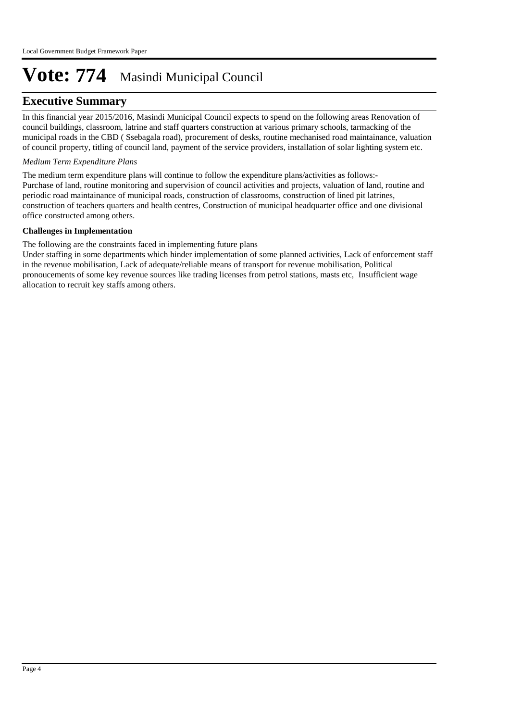### **Executive Summary**

In this financial year 2015/2016, Masindi Municipal Council expects to spend on the following areas Renovation of council buildings, classroom, latrine and staff quarters construction at various primary schools, tarmacking of the municipal roads in the CBD ( Ssebagala road), procurement of desks, routine mechanised road maintainance, valuation of council property, titling of council land, payment of the service providers, installation of solar lighting system etc.

#### *Medium Term Expenditure Plans*

The medium term expenditure plans will continue to follow the expenditure plans/activities as follows:- Purchase of land, routine monitoring and supervision of council activities and projects, valuation of land, routine and periodic road maintainance of municipal roads, construction of classrooms, construction of lined pit latrines, construction of teachers quarters and health centres, Construction of municipal headquarter office and one divisional office constructed among others.

#### **Challenges in Implementation**

The following are the constraints faced in implementing future plans

Under staffing in some departments which hinder implementation of some planned activities, Lack of enforcement staff in the revenue mobilisation, Lack of adequate/reliable means of transport for revenue mobilisation, Political pronoucements of some key revenue sources like trading licenses from petrol stations, masts etc, Insufficient wage allocation to recruit key staffs among others.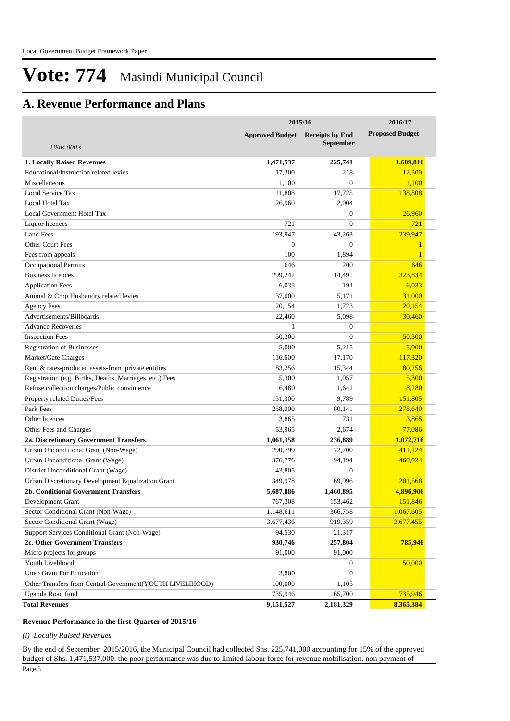## **A. Revenue Performance and Plans**

|                                                           | 2015/16                | 2016/17                |                        |
|-----------------------------------------------------------|------------------------|------------------------|------------------------|
|                                                           | <b>Approved Budget</b> | <b>Receipts by End</b> | <b>Proposed Budget</b> |
| UShs $000's$                                              |                        | <b>September</b>       |                        |
| <b>1. Locally Raised Revenues</b>                         | 1,471,537              | 225,741                | 1,609,816              |
| Educational/Instruction related levies                    | 17,300                 | 218                    | 12,300                 |
| Miscellaneous                                             | 1,100                  | $\overline{0}$         | 1,100                  |
| Local Service Tax                                         | 111,808                | 17,725                 | 138,808                |
| Local Hotel Tax                                           | 26,960                 | 2,004                  |                        |
| Local Government Hotel Tax                                |                        | $\boldsymbol{0}$       | 26,960                 |
| Liquor licences                                           | 721                    | $\overline{0}$         | 721                    |
| <b>Land Fees</b>                                          | 193,947                | 43,263                 | 239,947                |
| Other Court Fees                                          | $\boldsymbol{0}$       | $\overline{0}$         | 1                      |
| Fees from appeals                                         | 100                    | 1,894                  | 1                      |
| <b>Occupational Permits</b>                               | 646                    | 200                    | 646                    |
| <b>Business licences</b>                                  | 299,242                | 14,491                 | 323,834                |
| <b>Application Fees</b>                                   | 6,033                  | 194                    | 6,033                  |
| Animal & Crop Husbandry related levies                    | 37,000                 | 5,171                  | 31,000                 |
| <b>Agency Fees</b>                                        | 20,154                 | 1,723                  | 20,154                 |
| Advertisements/Billboards                                 | 22,460                 | 5,098                  | 30,460                 |
| <b>Advance Recoveries</b>                                 | 1                      | $\boldsymbol{0}$       |                        |
| <b>Inspection Fees</b>                                    | 50,300                 | $\overline{0}$         | 50,300                 |
| <b>Registration of Businesses</b>                         | 5,000                  | 5,215                  | 5,000                  |
| Market/Gate Charges                                       | 116,600                | 17,170                 | 117,320                |
| Rent & rates-produced assets-from private entities        | 83,256                 | 15,344                 | 80,256                 |
| Registration (e.g. Births, Deaths, Marriages, etc.) Fees  | 5,300                  | 1,057                  | 5,300                  |
| Refuse collection charges/Public convinience              | 6,480                  | 1,641                  | 8,280                  |
| Property related Duties/Fees                              | 151,300                | 9,789                  | 151,805                |
| Park Fees                                                 | 258,000                | 80,141                 | 278,640                |
| Other licences                                            | 3,865                  | 731                    | 3,865                  |
| Other Fees and Charges                                    | 53,965                 | 2,674                  | 77,086                 |
| 2a. Discretionary Government Transfers                    | 1,061,358              | 236,889                | 1,072,716              |
| Urban Unconditional Grant (Non-Wage)                      | 290,799                | 72,700                 | 411,124                |
| Urban Unconditional Grant (Wage)                          | 376,776                | 94,194                 | 460,024                |
| District Unconditional Grant (Wage)                       | 43,805                 | $\overline{0}$         |                        |
| Urban Discretionary Development Equalization Grant        | 349,978                | 69,996                 | 201,568                |
| <b>2b. Conditional Government Transfers</b>               | 5,687,886              | 1,460,895              | 4,896,906              |
| Development Grant                                         | 767,308                | 153,462                | 151,846                |
| Sector Conditional Grant (Non-Wage)                       | 1,148,611              | 366,758                | 1,067,605              |
| Sector Conditional Grant (Wage)                           | 3,677,436              | 919,359                | 3,677,455              |
| Support Services Conditional Grant (Non-Wage)             | 94,530                 | 21,317                 |                        |
| 2c. Other Government Transfers                            | 930,746                | 257,804                | 785,946                |
| Micro projects for groups                                 | 91,000                 | 91,000                 |                        |
| Youth Livelihood                                          |                        | 0                      | 50,000                 |
| Uneb Grant For Education                                  | 3,800                  | $\boldsymbol{0}$       |                        |
| Other Transfers from Central Government(YOUTH LIVELIHOOD) | 100,000                | 1,105                  |                        |
| Uganda Road fund                                          | 735,946                | 165,700                | 735,946                |
| <b>Total Revenues</b>                                     | 9,151,527              | 2,181,329              | 8,365,384              |

#### **Revenue Performance in the first Quarter of 2015/16**

#### *(i) Locally Raised Revenues*

By the end of September 2015/2016, the Municipal Council had collected Shs. 225,741,000 accounting for 15% of the approved budget of Shs. 1,471,537,000. the poor performance was due to limited labour force for revenue mobilisation, non payment of Page 5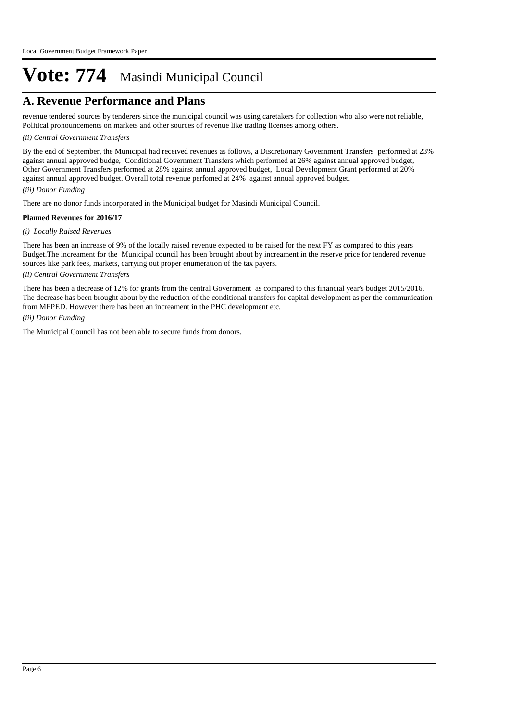## **A. Revenue Performance and Plans**

revenue tendered sources by tenderers since the municipal council was using caretakers for collection who also were not reliable, Political pronouncements on markets and other sources of revenue like trading licenses among others.

#### *(ii) Central Government Transfers*

*(iii) Donor Funding* By the end of September, the Municipal had received revenues as follows, a Discretionary Government Transfers performed at 23% against annual approved budge, Conditional Government Transfers which performed at 26% against annual approved budget, Other Government Transfers performed at 28% against annual approved budget, Local Development Grant performed at 20% against annual approved budget. Overall total revenue perfomed at 24% against annual approved budget.

There are no donor funds incorporated in the Municipal budget for Masindi Municipal Council.

#### **Planned Revenues for 2016/17**

#### *(i) Locally Raised Revenues*

There has been an increase of 9% of the locally raised revenue expected to be raised for the next FY as compared to this years Budget.The increament for the Municipal council has been brought about by increament in the reserve price for tendered revenue sources like park fees, markets, carrying out proper enumeration of the tax payers.

#### *(ii) Central Government Transfers*

*(iii) Donor Funding* There has been a decrease of 12% for grants from the central Government as compared to this financial year's budget 2015/2016. The decrease has been brought about by the reduction of the conditional transfers for capital development as per the communication from MFPED. However there has been an increament in the PHC development etc.

The Municipal Council has not been able to secure funds from donors.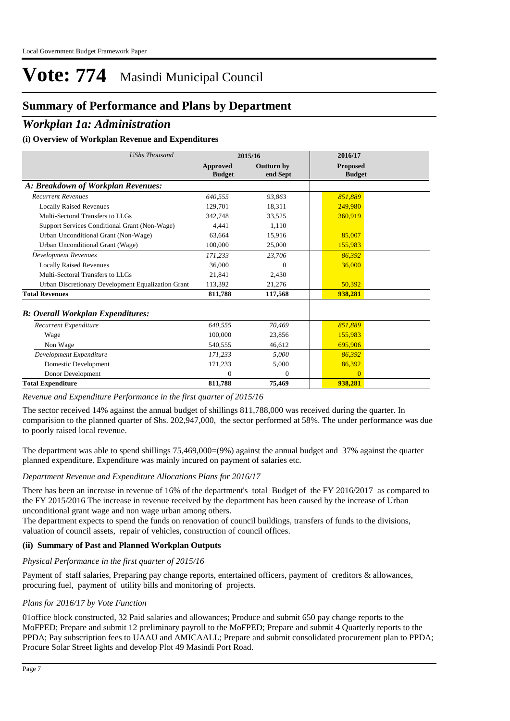## **Summary of Performance and Plans by Department**

### *Workplan 1a: Administration*

#### **(i) Overview of Workplan Revenue and Expenditures**

| <b>UShs Thousand</b>                               |                                  | 2015/16                       | 2016/17                          |
|----------------------------------------------------|----------------------------------|-------------------------------|----------------------------------|
|                                                    | <b>Approved</b><br><b>Budget</b> | <b>Outturn by</b><br>end Sept | <b>Proposed</b><br><b>Budget</b> |
| A: Breakdown of Workplan Revenues:                 |                                  |                               |                                  |
| <b>Recurrent Revenues</b>                          | 640.555                          | 93.863                        | 851,889                          |
| <b>Locally Raised Revenues</b>                     | 129,701                          | 18,311                        | 249.980                          |
| Multi-Sectoral Transfers to LLGs                   | 342,748                          | 33,525                        | 360,919                          |
| Support Services Conditional Grant (Non-Wage)      | 4.441                            | 1,110                         |                                  |
| Urban Unconditional Grant (Non-Wage)               | 63.664                           | 15,916                        | 85,007                           |
| Urban Unconditional Grant (Wage)                   | 100,000                          | 25,000                        | 155,983                          |
| <b>Development Revenues</b>                        | 171,233                          | 23,706                        | 86.392                           |
| <b>Locally Raised Revenues</b>                     | 36,000                           | $\Omega$                      | 36,000                           |
| Multi-Sectoral Transfers to LLGs                   | 21,841                           | 2,430                         |                                  |
| Urban Discretionary Development Equalization Grant | 113,392                          | 21,276                        | 50,392                           |
| <b>Total Revenues</b>                              | 811,788                          | 117,568                       | 938,281                          |
| <b>B: Overall Workplan Expenditures:</b>           |                                  |                               |                                  |
| Recurrent Expenditure                              | 640.555                          | 70.469                        | 851.889                          |
| Wage                                               | 100,000                          | 23,856                        | 155,983                          |
| Non Wage                                           | 540,555                          | 46,612                        | 695,906                          |
| Development Expenditure                            | 171.233                          | 5.000                         | 86.392                           |
| Domestic Development                               | 171,233                          | 5,000                         | 86,392                           |
| Donor Development                                  | $\Omega$                         | $\Omega$                      | $\Omega$                         |
| <b>Total Expenditure</b>                           | 811,788                          | 75,469                        | 938,281                          |

*Revenue and Expenditure Performance in the first quarter of 2015/16*

The sector received 14% against the annual budget of shillings 811,788,000 was received during the quarter. In comparision to the planned quarter of Shs. 202,947,000, the sector performed at 58%. The under performance was due to poorly raised local revenue.

The department was able to spend shillings 75,469,000=(9%) against the annual budget and 37% against the quarter planned expenditure. Expenditure was mainly incured on payment of salaries etc.

#### *Department Revenue and Expenditure Allocations Plans for 2016/17*

There has been an increase in revenue of 16% of the department's total Budget of the FY 2016/2017 as compared to the FY 2015/2016 The increase in revenue received by the department has been caused by the increase of Urban unconditional grant wage and non wage urban among others.

The department expects to spend the funds on renovation of council buildings, transfers of funds to the divisions, valuation of council assets, repair of vehicles, construction of council offices.

#### **(ii) Summary of Past and Planned Workplan Outputs**

#### *Physical Performance in the first quarter of 2015/16*

Payment of staff salaries, Preparing pay change reports, entertained officers, payment of creditors & allowances, procuring fuel, payment of utility bills and monitoring of projects.

#### *Plans for 2016/17 by Vote Function*

01office block constructed, 32 Paid salaries and allowances; Produce and submit 650 pay change reports to the MoFPED; Prepare and submit 12 preliminary payroll to the MoFPED; Prepare and submit 4 Quarterly reports to the PPDA; Pay subscription fees to UAAU and AMICAALL; Prepare and submit consolidated procurement plan to PPDA; Procure Solar Street lights and develop Plot 49 Masindi Port Road.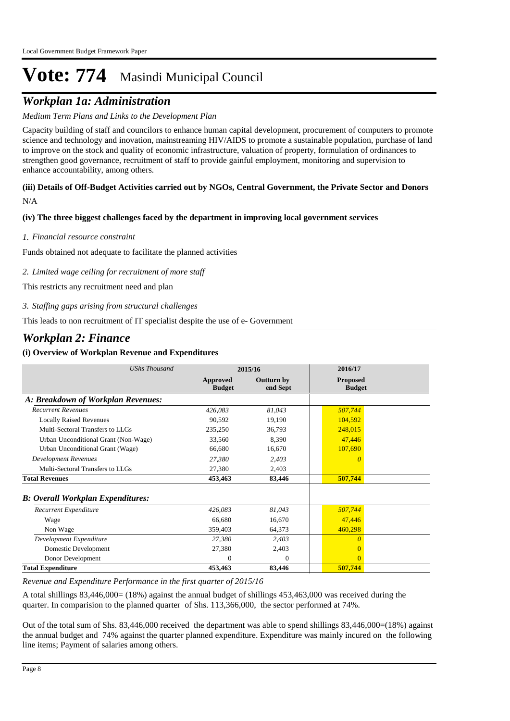## *Workplan 1a: Administration*

#### *Medium Term Plans and Links to the Development Plan*

Capacity building of staff and councilors to enhance human capital development, procurement of computers to promote science and technology and inovation, mainstreaming HIV/AIDS to promote a sustainable population, purchase of land to improve on the stock and quality of economic infrastructure, valuation of property, formulation of ordinances to strengthen good governance, recruitment of staff to provide gainful employment, monitoring and supervision to enhance accountability, among others.

#### N/A **(iii) Details of Off-Budget Activities carried out by NGOs, Central Government, the Private Sector and Donors**

#### **(iv) The three biggest challenges faced by the department in improving local government services**

#### *Financial resource constraint 1.*

Funds obtained not adequate to facilitate the planned activities

#### *Limited wage ceiling for recruitment of more staff 2.*

This restricts any recruitment need and plan

*Staffing gaps arising from structural challenges 3.*

This leads to non recruitment of IT specialist despite the use of e- Government

### *Workplan 2: Finance*

#### **(i) Overview of Workplan Revenue and Expenditures**

| <b>UShs Thousand</b>                     | 2015/16                   |                        | 2016/17                          |  |
|------------------------------------------|---------------------------|------------------------|----------------------------------|--|
|                                          | Approved<br><b>Budget</b> | Outturn by<br>end Sept | <b>Proposed</b><br><b>Budget</b> |  |
| A: Breakdown of Workplan Revenues:       |                           |                        |                                  |  |
| <b>Recurrent Revenues</b>                | 426,083                   | 81,043                 | 507,744                          |  |
| <b>Locally Raised Revenues</b>           | 90,592                    | 19,190                 | 104,592                          |  |
| Multi-Sectoral Transfers to LLGs         | 235,250                   | 36,793                 | 248,015                          |  |
| Urban Unconditional Grant (Non-Wage)     | 33,560                    | 8,390                  | 47,446                           |  |
| Urban Unconditional Grant (Wage)         | 66,680                    | 16,670                 | 107,690                          |  |
| <b>Development Revenues</b>              | 27,380                    | 2,403                  | $\theta$                         |  |
| Multi-Sectoral Transfers to LLGs         | 27,380                    | 2,403                  |                                  |  |
| <b>Total Revenues</b>                    | 453,463                   | 83,446                 | 507,744                          |  |
| <b>B: Overall Workplan Expenditures:</b> |                           |                        |                                  |  |
| Recurrent Expenditure                    | 426,083                   | 81,043                 | 507,744                          |  |
| Wage                                     | 66,680                    | 16,670                 | 47,446                           |  |
| Non Wage                                 | 359,403                   | 64,373                 | 460,298                          |  |
| Development Expenditure                  | 27,380                    | 2,403                  | $\theta$                         |  |
| Domestic Development                     | 27,380                    | 2,403                  |                                  |  |
| Donor Development                        | $\Omega$                  | $\Omega$               | $\Omega$                         |  |
| <b>Total Expenditure</b>                 | 453,463                   | 83,446                 | 507,744                          |  |

#### *Revenue and Expenditure Performance in the first quarter of 2015/16*

A total shillings 83,446,000= (18%) against the annual budget of shillings 453,463,000 was received during the quarter. In comparision to the planned quarter of Shs. 113,366,000, the sector performed at 74%.

Out of the total sum of Shs. 83,446,000 received the department was able to spend shillings 83,446,000=(18%) against the annual budget and 74% against the quarter planned expenditure. Expenditure was mainly incured on the following line items; Payment of salaries among others.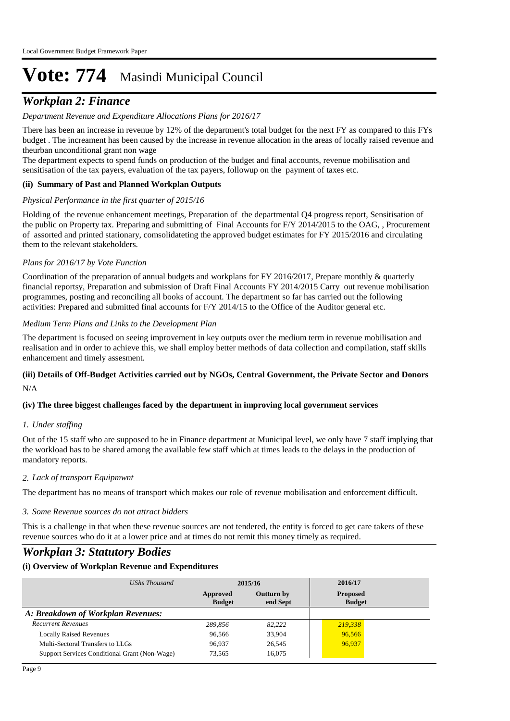## *Workplan 2: Finance*

#### *Department Revenue and Expenditure Allocations Plans for 2016/17*

There has been an increase in revenue by 12% of the department's total budget for the next FY as compared to this FYs budget . The increament has been caused by the increase in revenue allocation in the areas of locally raised revenue and theurban unconditional grant non wage

The department expects to spend funds on production of the budget and final accounts, revenue mobilisation and sensitisation of the tax payers, evaluation of the tax payers, followup on the payment of taxes etc.

#### **(ii) Summary of Past and Planned Workplan Outputs**

#### *Physical Performance in the first quarter of 2015/16*

Holding of the revenue enhancement meetings, Preparation of the departmental Q4 progress report, Sensitisation of the public on Property tax. Preparing and submitting of Final Accounts for F/Y 2014/2015 to the OAG, , Procurement of assorted and printed stationary, comsolidateting the approved budget estimates for FY 2015/2016 and circulating them to the relevant stakeholders.

#### *Plans for 2016/17 by Vote Function*

Coordination of the preparation of annual budgets and workplans for FY 2016/2017, Prepare monthly & quarterly financial reportsy, Preparation and submission of Draft Final Accounts FY 2014/2015 Carry out revenue mobilisation programmes, posting and reconciling all books of account. The department so far has carried out the following activities: Prepared and submitted final accounts for F/Y 2014/15 to the Office of the Auditor general etc.

#### *Medium Term Plans and Links to the Development Plan*

The department is focused on seeing improvement in key outputs over the medium term in revenue mobilisation and realisation and in order to achieve this, we shall employ better methods of data collection and compilation, staff skills enhancement and timely assesment.

## **(iii) Details of Off-Budget Activities carried out by NGOs, Central Government, the Private Sector and Donors**

N/A

#### **(iv) The three biggest challenges faced by the department in improving local government services**

#### *Under staffing 1.*

Out of the 15 staff who are supposed to be in Finance department at Municipal level, we only have 7 staff implying that the workload has to be shared among the available few staff which at times leads to the delays in the production of mandatory reports.

#### *Lack of transport Equipmwnt 2.*

The department has no means of transport which makes our role of revenue mobilisation and enforcement difficult.

#### *Some Revenue sources do not attract bidders 3.*

This is a challenge in that when these revenue sources are not tendered, the entity is forced to get care takers of these revenue sources who do it at a lower price and at times do not remit this money timely as required.

### *Workplan 3: Statutory Bodies*

| UShs Thousand                                 | 2015/16                   |                               | 2016/17                          |
|-----------------------------------------------|---------------------------|-------------------------------|----------------------------------|
|                                               | Approved<br><b>Budget</b> | <b>Outturn by</b><br>end Sept | <b>Proposed</b><br><b>Budget</b> |
| A: Breakdown of Workplan Revenues:            |                           |                               |                                  |
| <b>Recurrent Revenues</b>                     | 289.856                   | 82.222                        | 219,338                          |
| <b>Locally Raised Revenues</b>                | 96,566                    | 33,904                        | 96,566                           |
| Multi-Sectoral Transfers to LLGs              | 96.937                    | 26,545                        | 96.937                           |
| Support Services Conditional Grant (Non-Wage) | 73,565                    | 16.075                        |                                  |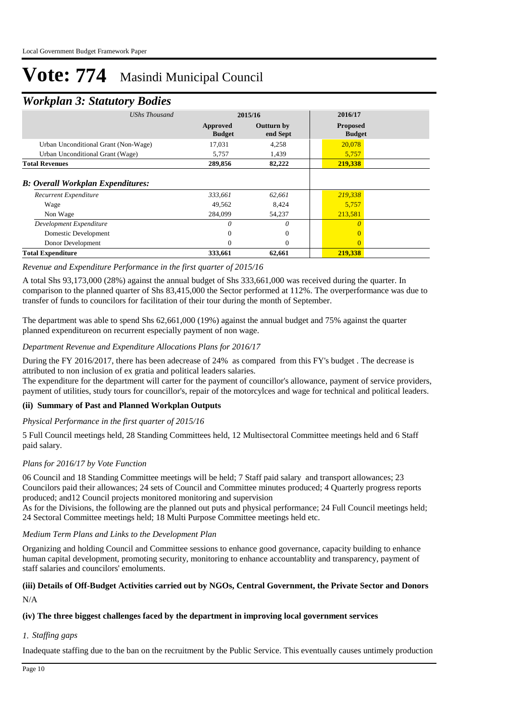### *Workplan 3: Statutory Bodies*

| <b>UShs Thousand</b>                     | 2015/16                   |                               | 2016/17                          |  |
|------------------------------------------|---------------------------|-------------------------------|----------------------------------|--|
|                                          | Approved<br><b>Budget</b> | <b>Outturn by</b><br>end Sept | <b>Proposed</b><br><b>Budget</b> |  |
| Urban Unconditional Grant (Non-Wage)     | 17,031                    | 4,258                         | 20,078                           |  |
| Urban Unconditional Grant (Wage)         | 5,757                     | 1,439                         | 5,757                            |  |
| <b>Total Revenues</b>                    | 289,856                   | 82,222                        | 219,338                          |  |
| Recurrent Expenditure                    | 333,661                   | 62.661                        | 219,338                          |  |
| <b>B: Overall Workplan Expenditures:</b> |                           |                               |                                  |  |
| Wage                                     | 49,562                    | 8,424                         | 5,757                            |  |
| Non Wage                                 | 284,099                   | 54,237                        | 213,581                          |  |
| Development Expenditure                  | 0                         | $\theta$                      | $\theta$                         |  |
| Domestic Development                     | 0                         | $\theta$                      |                                  |  |
| Donor Development                        | $\Omega$                  | $\Omega$                      | $\Omega$                         |  |
| <b>Total Expenditure</b>                 | 333,661                   | 62,661                        | 219,338                          |  |

#### *Revenue and Expenditure Performance in the first quarter of 2015/16*

A total Shs 93,173,000 (28%) against the annual budget of Shs 333,661,000 was received during the quarter. In comparison to the planned quarter of Shs 83,415,000 the Sector performed at 112%. The overperformance was due to transfer of funds to councilors for facilitation of their tour during the month of September.

The department was able to spend Shs 62,661,000 (19%) against the annual budget and 75% against the quarter planned expenditureon on recurrent especially payment of non wage.

#### *Department Revenue and Expenditure Allocations Plans for 2016/17*

During the FY 2016/2017, there has been adecrease of 24% as compared from this FY's budget . The decrease is attributed to non inclusion of ex gratia and political leaders salaries.

The expenditure for the department will carter for the payment of councillor's allowance, payment of service providers, payment of utilities, study tours for councillor's, repair of the motorcylces and wage for technical and political leaders.

#### **(ii) Summary of Past and Planned Workplan Outputs**

#### *Physical Performance in the first quarter of 2015/16*

5 Full Council meetings held, 28 Standing Committees held, 12 Multisectoral Committee meetings held and 6 Staff paid salary.

#### *Plans for 2016/17 by Vote Function*

06 Council and 18 Standing Committee meetings will be held; 7 Staff paid salary and transport allowances; 23 Councilors paid their allowances; 24 sets of Council and Committee minutes produced; 4 Quarterly progress reports produced; and12 Council projects monitored monitoring and supervision

As for the Divisions, the following are the planned out puts and physical performance; 24 Full Council meetings held; 24 Sectoral Committee meetings held; 18 Multi Purpose Committee meetings held etc.

#### *Medium Term Plans and Links to the Development Plan*

Organizing and holding Council and Committee sessions to enhance good governance, capacity building to enhance human capital development, promoting security, monitoring to enhance accountablity and transparency, payment of staff salaries and councilors' emoluments.

#### N/A **(iii) Details of Off-Budget Activities carried out by NGOs, Central Government, the Private Sector and Donors**

#### **(iv) The three biggest challenges faced by the department in improving local government services**

#### *Staffing gaps 1.*

Inadequate staffing due to the ban on the recruitment by the Public Service. This eventually causes untimely production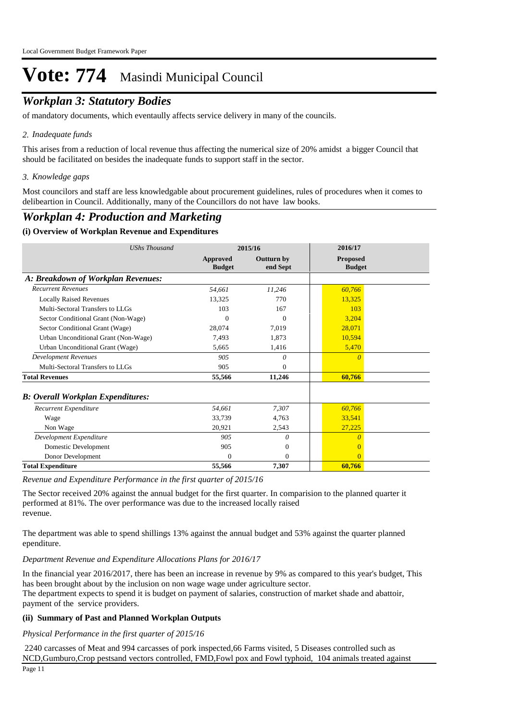## *Workplan 3: Statutory Bodies*

of mandatory documents, which eventaully affects service delivery in many of the councils.

#### *Inadequate funds 2.*

This arises from a reduction of local revenue thus affecting the numerical size of 20% amidst a bigger Council that should be facilitated on besides the inadequate funds to support staff in the sector.

#### *Knowledge gaps 3.*

Most councilors and staff are less knowledgable about procurement guidelines, rules of procedures when it comes to delibeartion in Council. Additionally, many of the Councillors do not have law books.

### *Workplan 4: Production and Marketing*

#### **(i) Overview of Workplan Revenue and Expenditures**

| <b>UShs Thousand</b>                     |                                  | 2015/16                       | 2016/17                          |
|------------------------------------------|----------------------------------|-------------------------------|----------------------------------|
|                                          | <b>Approved</b><br><b>Budget</b> | <b>Outturn by</b><br>end Sept | <b>Proposed</b><br><b>Budget</b> |
| A: Breakdown of Workplan Revenues:       |                                  |                               |                                  |
| <b>Recurrent Revenues</b>                | 54,661                           | 11,246                        | 60,766                           |
| <b>Locally Raised Revenues</b>           | 13,325                           | 770                           | 13.325                           |
| Multi-Sectoral Transfers to LLGs         | 103                              | 167                           | 103                              |
| Sector Conditional Grant (Non-Wage)      | $\Omega$                         | $\Omega$                      | 3,204                            |
| Sector Conditional Grant (Wage)          | 28,074                           | 7,019                         | 28,071                           |
| Urban Unconditional Grant (Non-Wage)     | 7,493                            | 1,873                         | 10,594                           |
| Urban Unconditional Grant (Wage)         | 5,665                            | 1,416                         | 5,470                            |
| <b>Development Revenues</b>              | 905                              | 0                             | $\theta$                         |
| Multi-Sectoral Transfers to LLGs         | 905                              | $\Omega$                      |                                  |
| <b>Total Revenues</b>                    | 55,566                           | 11,246                        | 60,766                           |
| <b>B: Overall Workplan Expenditures:</b> |                                  |                               |                                  |
| Recurrent Expenditure                    | 54,661                           | 7,307                         | 60,766                           |
| Wage                                     | 33,739                           | 4,763                         | 33,541                           |
| Non Wage                                 | 20,921                           | 2,543                         | 27,225                           |
| Development Expenditure                  | 905                              | $\theta$                      |                                  |
| Domestic Development                     | 905                              | $\overline{0}$                |                                  |
| Donor Development                        | $\Omega$                         | $\Omega$                      | $\Omega$                         |
| <b>Total Expenditure</b>                 | 55,566                           | 7,307                         | 60,766                           |

*Revenue and Expenditure Performance in the first quarter of 2015/16*

The Sector received 20% against the annual budget for the first quarter. In comparision to the planned quarter it performed at 81%. The over performance was due to the increased locally raised revenue.

The department was able to spend shillings 13% against the annual budget and 53% against the quarter planned ependiture.

#### *Department Revenue and Expenditure Allocations Plans for 2016/17*

In the financial year 2016/2017, there has been an increase in revenue by 9% as compared to this year's budget, This has been brought about by the inclusion on non wage wage under agriculture sector.

The department expects to spend it is budget on payment of salaries, construction of market shade and abattoir, payment of the service providers.

#### **(ii) Summary of Past and Planned Workplan Outputs**

*Physical Performance in the first quarter of 2015/16*

 2240 carcasses of Meat and 994 carcasses of pork inspected,66 Farms visited, 5 Diseases controlled such as NCD,Gumburo,Crop pestsand vectors controlled, FMD,Fowl pox and Fowl typhoid, 104 animals treated against Page 11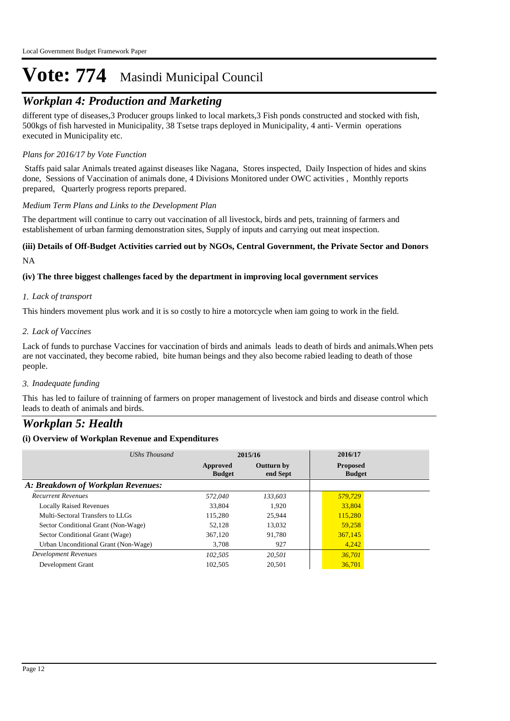## *Workplan 4: Production and Marketing*

different type of diseases,3 Producer groups linked to local markets,3 Fish ponds constructed and stocked with fish, 500kgs of fish harvested in Municipality, 38 Tsetse traps deployed in Municipality, 4 anti- Vermin operations executed in Municipality etc.

#### *Plans for 2016/17 by Vote Function*

 Staffs paid salar Animals treated against diseases like Nagana, Stores inspected, Daily Inspection of hides and skins done, Sessions of Vaccination of animals done, 4 Divisions Monitored under OWC activities , Monthly reports prepared, Quarterly progress reports prepared.

#### *Medium Term Plans and Links to the Development Plan*

The department will continue to carry out vaccination of all livestock, birds and pets, trainning of farmers and establishement of urban farming demonstration sites, Supply of inputs and carrying out meat inspection.

#### NA **(iii) Details of Off-Budget Activities carried out by NGOs, Central Government, the Private Sector and Donors**

#### **(iv) The three biggest challenges faced by the department in improving local government services**

#### *Lack of transport 1.*

This hinders movement plus work and it is so costly to hire a motorcycle when iam going to work in the field.

#### *Lack of Vaccines 2.*

Lack of funds to purchase Vaccines for vaccination of birds and animals leads to death of birds and animals.When pets are not vaccinated, they become rabied, bite human beings and they also become rabied leading to death of those people.

#### *Inadequate funding 3.*

This has led to failure of trainning of farmers on proper management of livestock and birds and disease control which leads to death of animals and birds.

## *Workplan 5: Health*

| UShs Thousand                        |                           | 2015/16                       | 2016/17                          |
|--------------------------------------|---------------------------|-------------------------------|----------------------------------|
|                                      | Approved<br><b>Budget</b> | <b>Outturn by</b><br>end Sept | <b>Proposed</b><br><b>Budget</b> |
| A: Breakdown of Workplan Revenues:   |                           |                               |                                  |
| <b>Recurrent Revenues</b>            | 572,040                   | 133.603                       | 579,729                          |
| <b>Locally Raised Revenues</b>       | 33,804                    | 1.920                         | 33,804                           |
| Multi-Sectoral Transfers to LLGs     | 115,280                   | 25,944                        | 115,280                          |
| Sector Conditional Grant (Non-Wage)  | 52,128                    | 13,032                        | 59,258                           |
| Sector Conditional Grant (Wage)      | 367,120                   | 91,780                        | 367,145                          |
| Urban Unconditional Grant (Non-Wage) | 3.708                     | 927                           | 4.242                            |
| Development Revenues                 | 102.505                   | 20,501                        | 36,701                           |
| Development Grant                    | 102,505                   | 20,501                        | 36,701                           |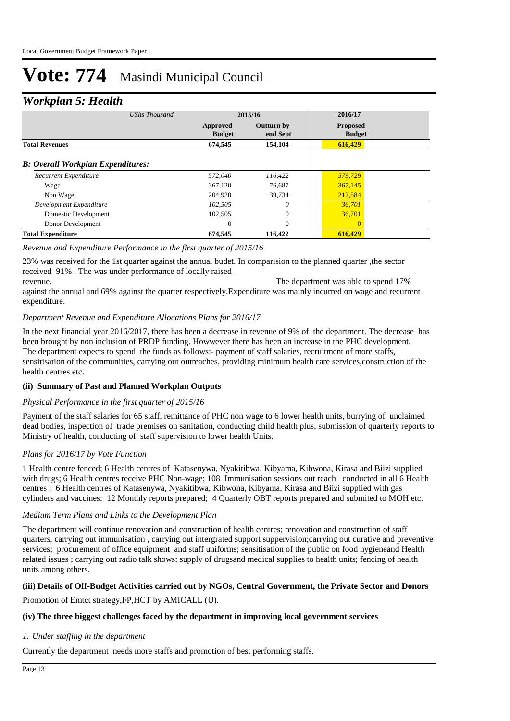### *Workplan 5: Health*

| UShs Thousand                             |                           | 2015/16                       | 2016/17                          |
|-------------------------------------------|---------------------------|-------------------------------|----------------------------------|
|                                           | Approved<br><b>Budget</b> | <b>Outturn by</b><br>end Sept | <b>Proposed</b><br><b>Budget</b> |
| <b>Total Revenues</b>                     | 674,545                   | 154,104                       | 616,429                          |
| <b>B</b> : Overall Workplan Expenditures: |                           |                               |                                  |
| Recurrent Expenditure                     | 572,040                   | 116.422                       | 579,729                          |
| Wage                                      | 367,120                   | 76,687                        | 367,145                          |
| Non Wage                                  | 204,920                   | 39,734                        | 212,584                          |
| Development Expenditure                   | 102,505                   | $\theta$                      | 36,701                           |
| Domestic Development                      | 102,505                   | $\mathbf{0}$                  | 36,701                           |
| Donor Development                         | $\Omega$                  | $\overline{0}$                | $\Omega$                         |
| <b>Total Expenditure</b>                  | 674,545                   | 116,422                       | 616,429                          |

#### *Revenue and Expenditure Performance in the first quarter of 2015/16*

23% was received for the 1st quarter against the annual budet. In comparision to the planned quarter ,the sector received 91% . The was under performance of locally raised

revenue. The department was able to spend 17% against the annual and 69% against the quarter respectively.Expenditure was mainly incurred on wage and recurrent expenditure.

#### *Department Revenue and Expenditure Allocations Plans for 2016/17*

In the next financial year 2016/2017, there has been a decrease in revenue of 9% of the department. The decrease has been brought by non inclusion of PRDP funding. Howwever there has been an increase in the PHC development. The department expects to spend the funds as follows:- payment of staff salaries, recruitment of more staffs, sensitisation of the communities, carrying out outreaches, providing minimum health care services,construction of the health centres etc.

#### **(ii) Summary of Past and Planned Workplan Outputs**

#### *Physical Performance in the first quarter of 2015/16*

Payment of the staff salaries for 65 staff, remittance of PHC non wage to 6 lower health units, burrying of unclaimed dead bodies, inspection of trade premises on sanitation, conducting child health plus, submission of quarterly reports to Ministry of health, conducting of staff supervision to lower health Units.

#### *Plans for 2016/17 by Vote Function*

1 Health centre fenced; 6 Health centres of Katasenywa, Nyakitibwa, Kibyama, Kibwona, Kirasa and Biizi supplied with drugs; 6 Health centres receive PHC Non-wage; 108 Immunisation sessions out reach conducted in all 6 Health centres ; 6 Health centres of Katasenywa, Nyakitibwa, Kibwona, Kibyama, Kirasa and Biizi supplied with gas cylinders and vaccines; 12 Monthly reports prepared; 4 Quarterly OBT reports prepared and submited to MOH etc.

#### *Medium Term Plans and Links to the Development Plan*

The department will continue renovation and construction of health centres; renovation and construction of staff quarters, carrying out immunisation , carrying out intergrated support suppervision;carrying out curative and preventive services; procurement of office equipment and staff uniforms; sensitisation of the public on food hygieneand Health related issues ; carrying out radio talk shows; supply of drugsand medical supplies to health units; fencing of health units among others.

#### **(iii) Details of Off-Budget Activities carried out by NGOs, Central Government, the Private Sector and Donors**

Promotion of Emtct strategy,FP,HCT by AMICALL (U).

#### **(iv) The three biggest challenges faced by the department in improving local government services**

#### *Under staffing in the department 1.*

Currently the department needs more staffs and promotion of best performing staffs.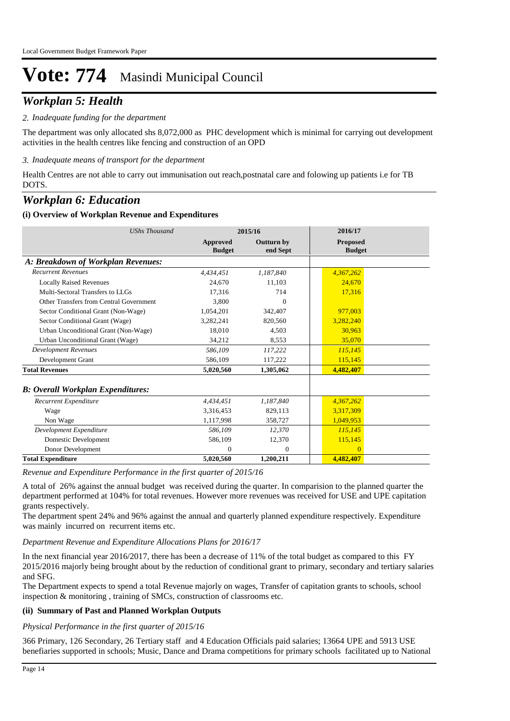## *Workplan 5: Health*

#### *Inadequate funding for the department 2.*

The department was only allocated shs 8,072,000 as PHC development which is minimal for carrying out development activities in the health centres like fencing and construction of an OPD

#### *Inadequate means of transport for the department 3.*

Health Centres are not able to carry out immunisation out reach,postnatal care and folowing up patients i.e for TB DOTS.

### *Workplan 6: Education*

#### **(i) Overview of Workplan Revenue and Expenditures**

| <b>UShs Thousand</b>                     |                           | 2015/16                       | 2016/17                          |
|------------------------------------------|---------------------------|-------------------------------|----------------------------------|
|                                          | Approved<br><b>Budget</b> | <b>Outturn by</b><br>end Sept | <b>Proposed</b><br><b>Budget</b> |
| A: Breakdown of Workplan Revenues:       |                           |                               |                                  |
| <b>Recurrent Revenues</b>                | 4.434.451                 | 1,187,840                     | 4,367,262                        |
| <b>Locally Raised Revenues</b>           | 24.670                    | 11,103                        | 24,670                           |
| Multi-Sectoral Transfers to LLGs         | 17.316                    | 714                           | 17.316                           |
| Other Transfers from Central Government  | 3.800                     | $\Omega$                      |                                  |
| Sector Conditional Grant (Non-Wage)      | 1,054,201                 | 342,407                       | 977,003                          |
| Sector Conditional Grant (Wage)          | 3,282,241                 | 820,560                       | 3,282,240                        |
| Urban Unconditional Grant (Non-Wage)     | 18,010                    | 4.503                         | 30,963                           |
| Urban Unconditional Grant (Wage)         | 34,212                    | 8,553                         | 35,070                           |
| <b>Development Revenues</b>              | 586.109                   | 117,222                       | 115,145                          |
| Development Grant                        | 586,109                   | 117,222                       | 115,145                          |
| <b>Total Revenues</b>                    | 5,020,560                 | 1,305,062                     | 4,482,407                        |
| <b>B: Overall Workplan Expenditures:</b> |                           |                               |                                  |
| Recurrent Expenditure                    | 4,434,451                 | 1,187,840                     | 4,367,262                        |
| Wage                                     | 3,316,453                 | 829,113                       | 3,317,309                        |
| Non Wage                                 | 1,117,998                 | 358,727                       | 1,049,953                        |
| Development Expenditure                  | 586.109                   | 12.370                        | 115,145                          |
| Domestic Development                     | 586,109                   | 12,370                        | 115,145                          |
| Donor Development                        | $\Omega$                  | $\boldsymbol{0}$              | $\Omega$                         |
| <b>Total Expenditure</b>                 | 5,020,560                 | 1,200,211                     | 4,482,407                        |

*Revenue and Expenditure Performance in the first quarter of 2015/16*

A total of 26% against the annual budget was received during the quarter. In comparision to the planned quarter the department performed at 104% for total revenues. However more revenues was received for USE and UPE capitation grants respectively.

The department spent 24% and 96% against the annual and quarterly planned expenditure respectively. Expenditure was mainly incurred on recurrent items etc.

#### *Department Revenue and Expenditure Allocations Plans for 2016/17*

In the next financial year 2016/2017, there has been a decrease of 11% of the total budget as compared to this FY 2015/2016 majorly being brought about by the reduction of conditional grant to primary, secondary and tertiary salaries and SFG.

The Department expects to spend a total Revenue majorly on wages, Transfer of capitation grants to schools, school inspection & monitoring , training of SMCs, construction of classrooms etc.

#### **(ii) Summary of Past and Planned Workplan Outputs**

#### *Physical Performance in the first quarter of 2015/16*

366 Primary, 126 Secondary, 26 Tertiary staff and 4 Education Officials paid salaries; 13664 UPE and 5913 USE benefiaries supported in schools; Music, Dance and Drama competitions for primary schools facilitated up to National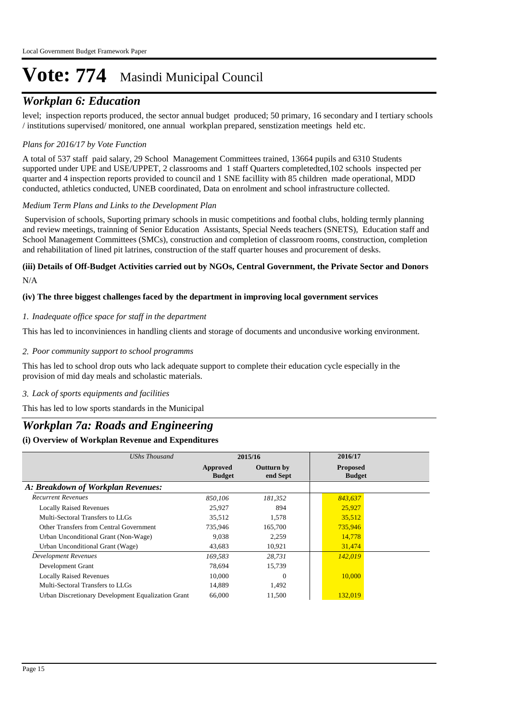### *Workplan 6: Education*

level; inspection reports produced, the sector annual budget produced; 50 primary, 16 secondary and I tertiary schools / institutions supervised/ monitored, one annual workplan prepared, senstization meetings held etc.

#### *Plans for 2016/17 by Vote Function*

A total of 537 staff paid salary, 29 School Management Committees trained, 13664 pupils and 6310 Students supported under UPE and USE/UPPET, 2 classrooms and 1 staff Quarters completedted,102 schools inspected per quarter and 4 inspection reports provided to council and 1 SNE facillity with 85 children made operational, MDD conducted, athletics conducted, UNEB coordinated, Data on enrolment and school infrastructure collected.

#### *Medium Term Plans and Links to the Development Plan*

 Supervision of schools, Suporting primary schools in music competitions and footbal clubs, holding termly planning and review meetings, trainning of Senior Education Assistants, Special Needs teachers (SNETS), Education staff and School Management Committees (SMCs), construction and completion of classroom rooms, construction, completion and rehabilitation of lined pit latrines, construction of the staff quarter houses and procurement of desks.

#### N/A **(iii) Details of Off-Budget Activities carried out by NGOs, Central Government, the Private Sector and Donors**

#### **(iv) The three biggest challenges faced by the department in improving local government services**

#### *Inadequate office space for staff in the department 1.*

This has led to inconviniences in handling clients and storage of documents and uncondusive working environment.

#### *Poor community support to school programms 2.*

This has led to school drop outs who lack adequate support to complete their education cycle especially in the provision of mid day meals and scholastic materials.

#### *Lack of sports equipments and facilities 3.*

This has led to low sports standards in the Municipal

### *Workplan 7a: Roads and Engineering*

| UShs Thousand                                      | 2015/16                   |                               | 2016/17                          |
|----------------------------------------------------|---------------------------|-------------------------------|----------------------------------|
|                                                    | Approved<br><b>Budget</b> | <b>Outturn by</b><br>end Sept | <b>Proposed</b><br><b>Budget</b> |
| A: Breakdown of Workplan Revenues:                 |                           |                               |                                  |
| <b>Recurrent Revenues</b>                          | 850,106                   | 181,352                       | 843,637                          |
| <b>Locally Raised Revenues</b>                     | 25,927                    | 894                           | 25,927                           |
| Multi-Sectoral Transfers to LLGs                   | 35,512                    | 1,578                         | 35,512                           |
| Other Transfers from Central Government            | 735,946                   | 165,700                       | 735,946                          |
| Urban Unconditional Grant (Non-Wage)               | 9,038                     | 2,259                         | 14,778                           |
| Urban Unconditional Grant (Wage)                   | 43,683                    | 10,921                        | 31,474                           |
| Development Revenues                               | 169,583                   | 28,731                        | 142,019                          |
| Development Grant                                  | 78,694                    | 15,739                        |                                  |
| <b>Locally Raised Revenues</b>                     | 10,000                    | $\Omega$                      | 10,000                           |
| Multi-Sectoral Transfers to LLGs                   | 14,889                    | 1,492                         |                                  |
| Urban Discretionary Development Equalization Grant | 66,000                    | 11,500                        | 132,019                          |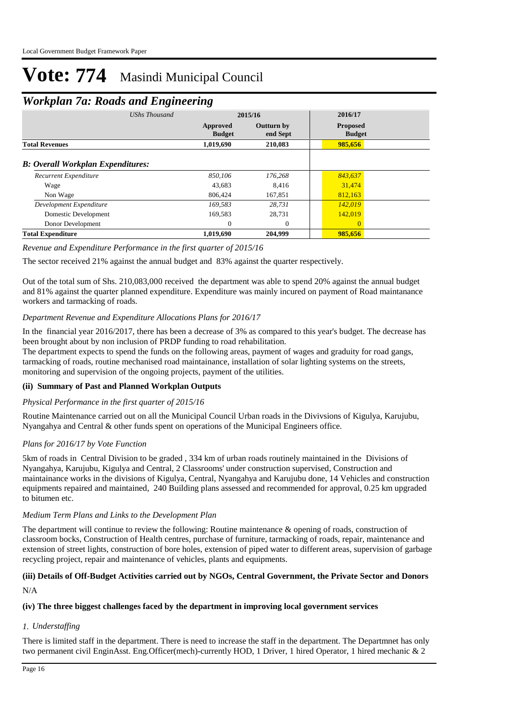### *Workplan 7a: Roads and Engineering*

|                                          | <b>UShs Thousand</b> | 2015/16                   |                               | 2016/17                          |  |
|------------------------------------------|----------------------|---------------------------|-------------------------------|----------------------------------|--|
|                                          |                      | Approved<br><b>Budget</b> | <b>Outturn by</b><br>end Sept | <b>Proposed</b><br><b>Budget</b> |  |
| <b>Total Revenues</b>                    |                      | 1,019,690                 | 210,083                       | 985,656                          |  |
| <b>B: Overall Workplan Expenditures:</b> |                      |                           |                               |                                  |  |
| <b>Recurrent Expenditure</b>             |                      | 850.106                   | 176.268                       | 843,637                          |  |
| Wage                                     |                      | 43,683                    | 8.416                         | 31,474                           |  |
| Non Wage                                 |                      | 806,424                   | 167,851                       | 812,163                          |  |
| Development Expenditure                  |                      | 169.583                   | 28.731                        | 142,019                          |  |
| Domestic Development                     |                      | 169,583                   | 28,731                        | 142,019                          |  |
| Donor Development                        |                      | $\theta$                  | $\theta$                      | $\Omega$                         |  |
| <b>Total Expenditure</b>                 |                      | 1,019,690                 | 204,999                       | 985,656                          |  |

#### *Revenue and Expenditure Performance in the first quarter of 2015/16*

The sector received 21% against the annual budget and 83% against the quarter respectively.

Out of the total sum of Shs. 210,083,000 received the department was able to spend 20% against the annual budget and 81% against the quarter planned expenditure. Expenditure was mainly incured on payment of Road maintanance workers and tarmacking of roads.

#### *Department Revenue and Expenditure Allocations Plans for 2016/17*

In the financial year 2016/2017, there has been a decrease of 3% as compared to this year's budget. The decrease has been brought about by non inclusion of PRDP funding to road rehabilitation.

The department expects to spend the funds on the following areas, payment of wages and graduity for road gangs, tarmacking of roads, routine mechanised road maintainance, installation of solar lighting systems on the streets, monitoring and supervision of the ongoing projects, payment of the utilities.

#### **(ii) Summary of Past and Planned Workplan Outputs**

#### *Physical Performance in the first quarter of 2015/16*

Routine Maintenance carried out on all the Municipal Council Urban roads in the Divivsions of Kigulya, Karujubu, Nyangahya and Central & other funds spent on operations of the Municipal Engineers office.

#### *Plans for 2016/17 by Vote Function*

5km of roads in Central Division to be graded , 334 km of urban roads routinely maintained in the Divisions of Nyangahya, Karujubu, Kigulya and Central, 2 Classrooms' under construction supervised, Construction and maintainance works in the divisions of Kigulya, Central, Nyangahya and Karujubu done, 14 Vehicles and construction equipments repaired and maintained, 240 Building plans assessed and recommended for approval, 0.25 km upgraded to bitumen etc.

#### *Medium Term Plans and Links to the Development Plan*

The department will continue to review the following: Routine maintenance & opening of roads, construction of classroom bocks, Construction of Health centres, purchase of furniture, tarmacking of roads, repair, maintenance and extension of street lights, construction of bore holes, extension of piped water to different areas, supervision of garbage recycling project, repair and maintenance of vehicles, plants and equipments.

#### $N/A$ **(iii) Details of Off-Budget Activities carried out by NGOs, Central Government, the Private Sector and Donors**

#### **(iv) The three biggest challenges faced by the department in improving local government services**

#### *Understaffing 1.*

There is limited staff in the department. There is need to increase the staff in the department. The Departmnet has only two permanent civil EnginAsst. Eng.Officer(mech)-currently HOD, 1 Driver, 1 hired Operator, 1 hired mechanic & 2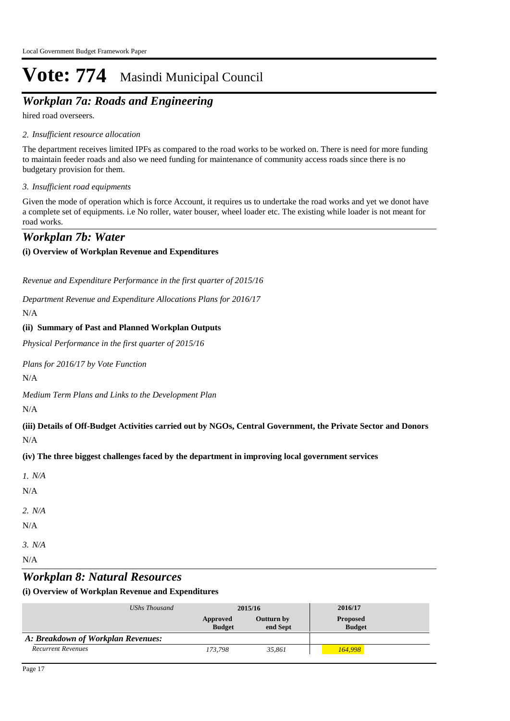## *Workplan 7a: Roads and Engineering*

hired road overseers.

#### *Insufficient resource allocation 2.*

The department receives limited IPFs as compared to the road works to be worked on. There is need for more funding to maintain feeder roads and also we need funding for maintenance of community access roads since there is no budgetary provision for them.

#### *Insufficient road equipments 3.*

Given the mode of operation which is force Account, it requires us to undertake the road works and yet we donot have a complete set of equipments. i.e No roller, water bouser, wheel loader etc. The existing while loader is not meant for road works.

### *Workplan 7b: Water*

#### **(i) Overview of Workplan Revenue and Expenditures**

*Revenue and Expenditure Performance in the first quarter of 2015/16*

*Department Revenue and Expenditure Allocations Plans for 2016/17*

N/A

#### **(ii) Summary of Past and Planned Workplan Outputs**

*Physical Performance in the first quarter of 2015/16*

*Plans for 2016/17 by Vote Function*

N/A

*Medium Term Plans and Links to the Development Plan*

N/A

N/A **(iii) Details of Off-Budget Activities carried out by NGOs, Central Government, the Private Sector and Donors** 

**(iv) The three biggest challenges faced by the department in improving local government services**

| 1. N/A |  |
|--------|--|
| N/A    |  |
| 2. N/A |  |
| N/A    |  |
| 3. N/A |  |
| N/A    |  |

### *Workplan 8: Natural Resources*

| UShs Thousand                      | 2015/16                   |                               | 2016/17                          |
|------------------------------------|---------------------------|-------------------------------|----------------------------------|
|                                    | Approved<br><b>Budget</b> | <b>Outturn by</b><br>end Sept | <b>Proposed</b><br><b>Budget</b> |
| A: Breakdown of Workplan Revenues: |                           |                               |                                  |
| <b>Recurrent Revenues</b>          | 173.798                   | 35,861                        | 164,998                          |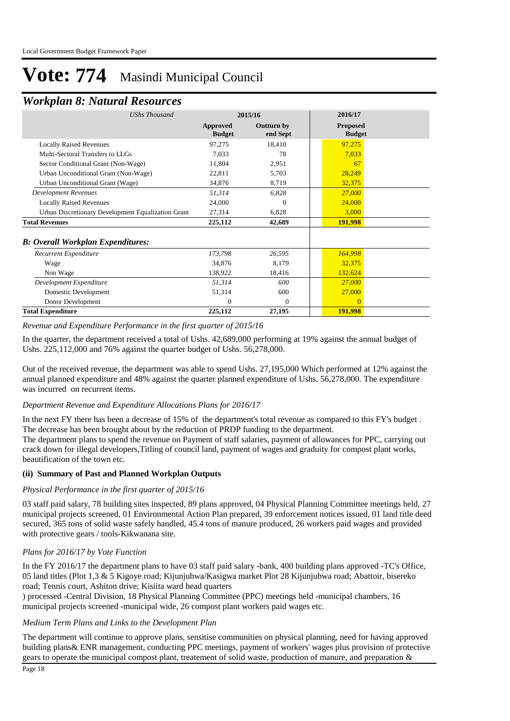### *Workplan 8: Natural Resources*

| <b>UShs Thousand</b>                               | 2015/16                          |                        | 2016/17                          |
|----------------------------------------------------|----------------------------------|------------------------|----------------------------------|
|                                                    | <b>Approved</b><br><b>Budget</b> | Outturn by<br>end Sept | <b>Proposed</b><br><b>Budget</b> |
| <b>Locally Raised Revenues</b>                     | 97,275                           | 18,410                 | 97,275                           |
| Multi-Sectoral Transfers to LLGs                   | 7,033                            | 78                     | 7,033                            |
| Sector Conditional Grant (Non-Wage)                | 11,804                           | 2,951                  | 67                               |
| Urban Unconditional Grant (Non-Wage)               | 22,811                           | 5,703                  | 28,249                           |
| Urban Unconditional Grant (Wage)                   | 34,876                           | 8,719                  | 32,375                           |
| <b>Development Revenues</b>                        | 51,314                           | 6,828                  | 27,000                           |
| <b>Locally Raised Revenues</b>                     | 24,000                           | $\Omega$               | 24,000                           |
| Urban Discretionary Development Equalization Grant | 27,314                           | 6,828                  | 3,000                            |
| <b>Total Revenues</b>                              | 225,112                          | 42,689                 | 191,998                          |
| <b>B: Overall Workplan Expenditures:</b>           |                                  |                        |                                  |
| Recurrent Expenditure                              | 173,798                          | 26,595                 | 164,998                          |
| Wage                                               | 34,876                           | 8,179                  | 32,375                           |
| Non Wage                                           | 138,922                          | 18,416                 | 132,624                          |
| Development Expenditure                            | 51,314                           | 600                    | 27,000                           |
| Domestic Development                               | 51,314                           | 600                    | 27,000                           |
| Donor Development                                  | $\mathbf{0}$                     | $\theta$               | $\theta$                         |
| <b>Total Expenditure</b>                           | 225,112                          | 27,195                 | 191,998                          |

*Revenue and Expenditure Performance in the first quarter of 2015/16*

In the quarter, the department received a total of Ushs. 42,689,000 performing at 19% against the annual budget of Ushs. 225,112,000 and 76% against the quarter budget of Ushs. 56,278,000.

Out of the received revenue, the department was able to spend Ushs. 27,195,000 Which performed at 12% against the annual planned expenditure and 48% against the quarter planned expenditure of Ushs. 56,278,000. The expenditure was incurred on recurrent items.

#### *Department Revenue and Expenditure Allocations Plans for 2016/17*

In the next FY there has been a decrease of 15% of the department's total revenue as compared to this FY's budget. The decrease has been brought about by the reduction of PRDP funding to the department.

The department plans to spend the revenue on Payment of staff salaries, payment of allowances for PPC, carrying out crack down for illegal developers,Titling of council land, payment of wages and graduity for compost plant works, beautification of the town etc.

#### **(ii) Summary of Past and Planned Workplan Outputs**

#### *Physical Performance in the first quarter of 2015/16*

03 staff paid salary, 78 building sites inspected, 89 plans approved, 04 Physical Planning Committee meetings held, 27 municipal projects screened, 01 Environmental Action Plan prepared, 39 enforcement notices issued, 01 land title deed secured, 365 tons of solid waste safely handled, 45.4 tons of manure produced, 26 workers paid wages and provided with protective gears / tools-Kikwanana site.

#### *Plans for 2016/17 by Vote Function*

In the FY 2016/17 the department plans to have 03 staff paid salary -bank, 400 building plans approved -TC's Office, 05 land titles (Plot 1,3 & 5 Kigoye road; Kijunjubwa/Kasigwa market Plot 28 Kijunjubwa road; Abattoir, bisereko road; Tennis court, Ashiton drive; Kisiita ward head quarters

) processed -Central Division, 18 Physical Planning Committee (PPC) meetings held -municipal chambers, 16 municipal projects screened -municipal wide, 26 compost plant workers paid wages etc.

#### *Medium Term Plans and Links to the Development Plan*

The department will continue to approve plans, sensitise communities on physical planning, need for having approved building plans& ENR management, conducting PPC meetings, payment of workers' wages plus provision of protective gears to operate the municipal compost plant, treatement of solid waste, production of manure, and preparation &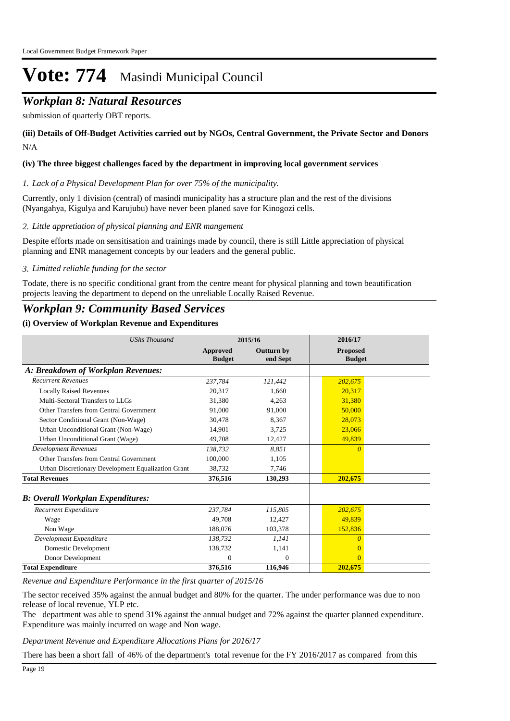## *Workplan 8: Natural Resources*

submission of quarterly OBT reports.

#### N/A **(iii) Details of Off-Budget Activities carried out by NGOs, Central Government, the Private Sector and Donors**

#### **(iv) The three biggest challenges faced by the department in improving local government services**

#### *Lack of a Physical Development Plan for over 75% of the municipality. 1.*

Currently, only 1 division (central) of masindi municipality has a structure plan and the rest of the divisions (Nyangahya, Kigulya and Karujubu) have never been planed save for Kinogozi cells.

*Little appretiation of physical planning and ENR mangement 2.*

Despite efforts made on sensitisation and trainings made by council, there is still Little appreciation of physical planning and ENR management concepts by our leaders and the general public.

#### *Limitted reliable funding for the sector 3.*

Todate, there is no specific conditional grant from the centre meant for physical planning and town beautification projects leaving the department to depend on the unreliable Locally Raised Revenue.

### *Workplan 9: Community Based Services*

#### **(i) Overview of Workplan Revenue and Expenditures**

| <b>UShs Thousand</b>                               | 2015/16                   |                               | 2016/17                          |
|----------------------------------------------------|---------------------------|-------------------------------|----------------------------------|
|                                                    | Approved<br><b>Budget</b> | <b>Outturn by</b><br>end Sept | <b>Proposed</b><br><b>Budget</b> |
| A: Breakdown of Workplan Revenues:                 |                           |                               |                                  |
| <b>Recurrent Revenues</b>                          | 237,784                   | 121,442                       | 202,675                          |
| <b>Locally Raised Revenues</b>                     | 20,317                    | 1.660                         | 20,317                           |
| Multi-Sectoral Transfers to LLGs                   | 31,380                    | 4,263                         | 31,380                           |
| Other Transfers from Central Government            | 91,000                    | 91,000                        | 50,000                           |
| Sector Conditional Grant (Non-Wage)                | 30,478                    | 8,367                         | 28,073                           |
| Urban Unconditional Grant (Non-Wage)               | 14.901                    | 3,725                         | 23,066                           |
| Urban Unconditional Grant (Wage)                   | 49,708                    | 12,427                        | 49,839                           |
| <b>Development Revenues</b>                        | 138,732                   | 8.851                         | 0                                |
| Other Transfers from Central Government            | 100,000                   | 1,105                         |                                  |
| Urban Discretionary Development Equalization Grant | 38,732                    | 7,746                         |                                  |
| <b>Total Revenues</b>                              | 376,516                   | 130,293                       | 202,675                          |
| <b>B: Overall Workplan Expenditures:</b>           |                           |                               |                                  |
| Recurrent Expenditure                              | 237,784                   | 115,805                       | 202,675                          |
| Wage                                               | 49.708                    | 12,427                        | 49,839                           |
| Non Wage                                           | 188,076                   | 103.378                       | 152,836                          |
| Development Expenditure                            | 138,732                   | 1,141                         | n                                |
| Domestic Development                               | 138,732                   | 1,141                         | $\Omega$                         |
| Donor Development                                  | $\mathbf{0}$              | $\Omega$                      | $\overline{0}$                   |
| <b>Total Expenditure</b>                           | 376,516                   | 116,946                       | 202,675                          |

#### *Revenue and Expenditure Performance in the first quarter of 2015/16*

The sector received 35% against the annual budget and 80% for the quarter. The under performance was due to non release of local revenue, YLP etc.

The department was able to spend 31% against the annual budget and 72% against the quarter planned expenditure. Expenditure was mainly incurred on wage and Non wage.

#### *Department Revenue and Expenditure Allocations Plans for 2016/17*

There has been a short fall of 46% of the department's total revenue for the FY 2016/2017 as compared from this

Page 19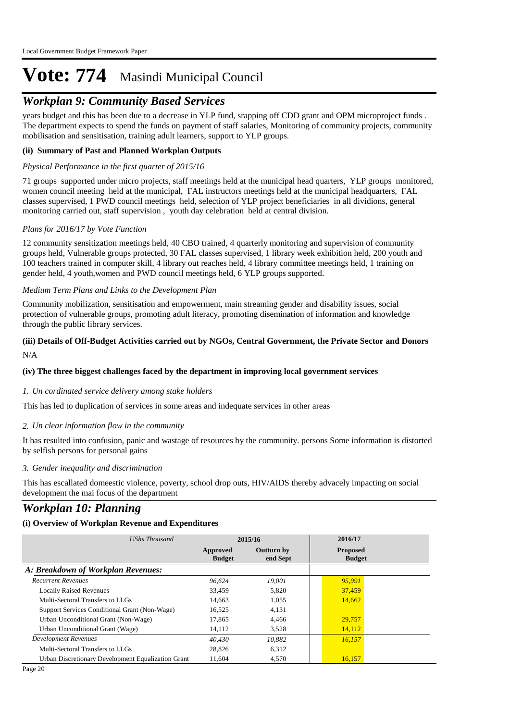## *Workplan 9: Community Based Services*

years budget and this has been due to a decrease in YLP fund, srapping off CDD grant and OPM microproject funds . The department expects to spend the funds on payment of staff salaries, Monitoring of community projects, community mobilisation and sensitisation, training adult learners, support to YLP groups.

#### **(ii) Summary of Past and Planned Workplan Outputs**

#### *Physical Performance in the first quarter of 2015/16*

71 groups supported under micro projects, staff meetings held at the municipal head quarters, YLP groups monitored, women council meeting held at the municipal, FAL instructors meetings held at the municipal headquarters, FAL classes supervised, 1 PWD council meetings held, selection of YLP project beneficiaries in all dividions, general monitoring carried out, staff supervision , youth day celebration held at central division.

#### *Plans for 2016/17 by Vote Function*

12 community sensitization meetings held, 40 CBO trained, 4 quarterly monitoring and supervision of community groups held, Vulnerable groups protected, 30 FAL classes supervised, 1 library week exhibition held, 200 youth and 100 teachers trained in computer skill, 4 library out reaches held, 4 library committee meetings held, 1 training on gender held, 4 youth,women and PWD council meetings held, 6 YLP groups supported.

#### *Medium Term Plans and Links to the Development Plan*

Community mobilization, sensitisation and empowerment, main streaming gender and disability issues, social protection of vulnerable groups, promoting adult literacy, promoting disemination of information and knowledge through the public library services.

#### N/A **(iii) Details of Off-Budget Activities carried out by NGOs, Central Government, the Private Sector and Donors**

#### **(iv) The three biggest challenges faced by the department in improving local government services**

#### *Un cordinated service delivery among stake holders 1.*

This has led to duplication of services in some areas and indequate services in other areas

#### *Un clear information flow in the community 2.*

It has resulted into confusion, panic and wastage of resources by the community. persons Some information is distorted by selfish persons for personal gains

#### *Gender inequality and discrimination 3.*

This has escallated domeestic violence, poverty, school drop outs, HIV/AIDS thereby advacely impacting on social development the mai focus of the department

### *Workplan 10: Planning*

| UShs Thousand                                      | 2015/16                   |                               | 2016/17                          |  |
|----------------------------------------------------|---------------------------|-------------------------------|----------------------------------|--|
|                                                    | Approved<br><b>Budget</b> | <b>Outturn by</b><br>end Sept | <b>Proposed</b><br><b>Budget</b> |  |
| A: Breakdown of Workplan Revenues:                 |                           |                               |                                  |  |
| <b>Recurrent Revenues</b>                          | 96.624                    | 19.001                        | 95,991                           |  |
| <b>Locally Raised Revenues</b>                     | 33.459                    | 5,820                         | 37,459                           |  |
| Multi-Sectoral Transfers to LLGs                   | 14.663                    | 1,055                         | 14,662                           |  |
| Support Services Conditional Grant (Non-Wage)      | 16,525                    | 4,131                         |                                  |  |
| Urban Unconditional Grant (Non-Wage)               | 17,865                    | 4,466                         | 29,757                           |  |
| Urban Unconditional Grant (Wage)                   | 14,112                    | 3,528                         | 14,112                           |  |
| Development Revenues                               | 40.430                    | 10,882                        | 16,157                           |  |
| Multi-Sectoral Transfers to LLGs                   | 28,826                    | 6,312                         |                                  |  |
| Urban Discretionary Development Equalization Grant | 11,604                    | 4,570                         | 16,157                           |  |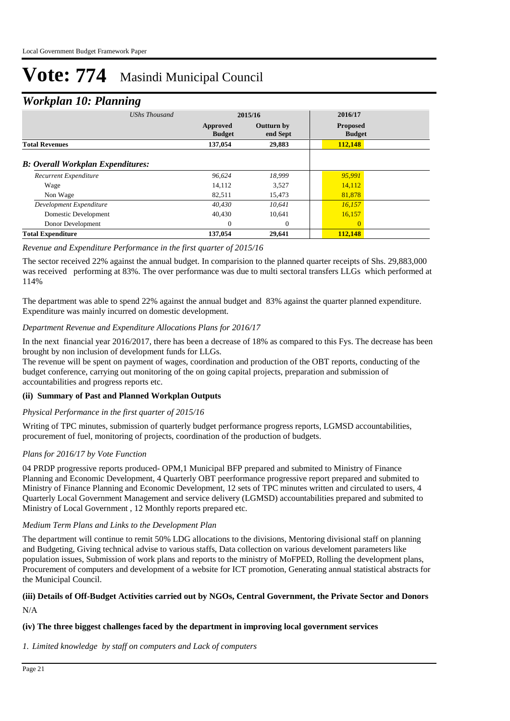### *Workplan 10: Planning*

|                                          | <b>UShs Thousand</b> | 2015/16                   |                               | 2016/17                          |  |
|------------------------------------------|----------------------|---------------------------|-------------------------------|----------------------------------|--|
|                                          |                      | Approved<br><b>Budget</b> | <b>Outturn by</b><br>end Sept | <b>Proposed</b><br><b>Budget</b> |  |
| <b>Total Revenues</b>                    |                      | 137,054                   | 29,883                        | 112,148                          |  |
| <b>B: Overall Workplan Expenditures:</b> |                      |                           |                               |                                  |  |
| Recurrent Expenditure                    |                      | 96,624                    | 18.999                        | 95,991                           |  |
| Wage                                     |                      | 14,112                    | 3,527                         | 14,112                           |  |
| Non Wage                                 |                      | 82,511                    | 15,473                        | 81,878                           |  |
| Development Expenditure                  |                      | 40,430                    | 10.641                        | 16,157                           |  |
| Domestic Development                     |                      | 40,430                    | 10,641                        | 16,157                           |  |
| Donor Development                        |                      | $\Omega$                  | $\Omega$                      | $\Omega$                         |  |
| <b>Total Expenditure</b>                 |                      | 137,054                   | 29,641                        | 112,148                          |  |

#### *Revenue and Expenditure Performance in the first quarter of 2015/16*

The sector received 22% against the annual budget. In comparision to the planned quarter receipts of Shs. 29,883,000 was received performing at 83%. The over performance was due to multi sectoral transfers LLGs which performed at 114%

The department was able to spend 22% against the annual budget and 83% against the quarter planned expenditure. Expenditure was mainly incurred on domestic development.

#### *Department Revenue and Expenditure Allocations Plans for 2016/17*

In the next financial year 2016/2017, there has been a decrease of 18% as compared to this Fys. The decrease has been brought by non inclusion of development funds for LLGs.

The revenue will be spent on payment of wages, coordination and production of the OBT reports, conducting of the budget conference, carrying out monitoring of the on going capital projects, preparation and submission of accountabilities and progress reports etc.

#### **(ii) Summary of Past and Planned Workplan Outputs**

#### *Physical Performance in the first quarter of 2015/16*

Writing of TPC minutes, submission of quarterly budget performance progress reports, LGMSD accountabilities, procurement of fuel, monitoring of projects, coordination of the production of budgets.

#### *Plans for 2016/17 by Vote Function*

04 PRDP progressive reports produced- OPM,1 Municipal BFP prepared and submited to Ministry of Finance Planning and Economic Development, 4 Quarterly OBT peerformance progressive report prepared and submited to Ministry of Finance Planning and Economic Development, 12 sets of TPC minutes written and circulated to users, 4 Quarterly Local Government Management and service delivery (LGMSD) accountabilities prepared and submited to Ministry of Local Government , 12 Monthly reports prepared etc.

#### *Medium Term Plans and Links to the Development Plan*

The department will continue to remit 50% LDG allocations to the divisions, Mentoring divisional staff on planning and Budgeting, Giving technical advise to various staffs, Data collection on various develoment parameters like population issues, Submission of work plans and reports to the ministry of MoFPED, Rolling the development plans, Procurement of computers and development of a website for ICT promotion, Generating annual statistical abstracts for the Municipal Council.

#### N/A **(iii) Details of Off-Budget Activities carried out by NGOs, Central Government, the Private Sector and Donors**

#### **(iv) The three biggest challenges faced by the department in improving local government services**

#### *Limited knowledge by staff on computers and Lack of computers 1.*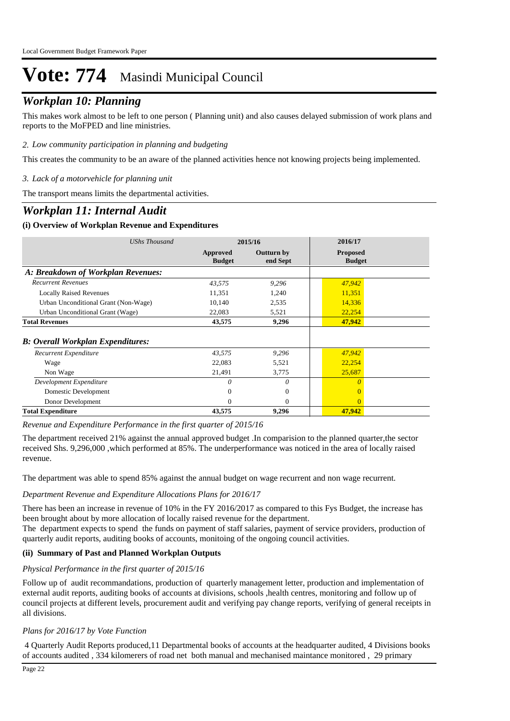## *Workplan 10: Planning*

This makes work almost to be left to one person ( Planning unit) and also causes delayed submission of work plans and reports to the MoFPED and line ministries.

*Low community participation in planning and budgeting 2.*

This creates the community to be an aware of the planned activities hence not knowing projects being implemented.

*Lack of a motorvehicle for planning unit 3.*

The transport means limits the departmental activities.

## *Workplan 11: Internal Audit*

#### **(i) Overview of Workplan Revenue and Expenditures**

| UShs Thousand                            | 2015/16                   |                               | 2016/17                          |  |
|------------------------------------------|---------------------------|-------------------------------|----------------------------------|--|
|                                          | Approved<br><b>Budget</b> | <b>Outturn by</b><br>end Sept | <b>Proposed</b><br><b>Budget</b> |  |
| A: Breakdown of Workplan Revenues:       |                           |                               |                                  |  |
| <b>Recurrent Revenues</b>                | 43,575                    | 9,296                         | 47,942                           |  |
| <b>Locally Raised Revenues</b>           | 11,351                    | 1,240                         | 11,351                           |  |
| Urban Unconditional Grant (Non-Wage)     | 10,140                    | 2,535                         | 14,336                           |  |
| Urban Unconditional Grant (Wage)         | 22,083                    | 5,521                         | 22,254                           |  |
| <b>Total Revenues</b>                    | 43,575                    | 9,296                         | 47,942                           |  |
| <b>B: Overall Workplan Expenditures:</b> |                           |                               |                                  |  |
| <b>Recurrent Expenditure</b>             | 43,575                    | 9,296                         | 47,942                           |  |
| Wage                                     | 22,083                    | 5,521                         | 22,254                           |  |
| Non Wage                                 | 21,491                    | 3,775                         | 25,687                           |  |
| Development Expenditure                  | 0                         | 0                             |                                  |  |
| Domestic Development                     | 0                         | $\overline{0}$                |                                  |  |
| Donor Development                        | 0                         | $\Omega$                      | $\Omega$                         |  |
| <b>Total Expenditure</b>                 | 43,575                    | 9,296                         | 47,942                           |  |

*Revenue and Expenditure Performance in the first quarter of 2015/16*

The department received 21% against the annual approved budget .In comparision to the planned quarter,the sector received Shs. 9,296,000 ,which performed at 85%. The underperformance was noticed in the area of locally raised revenue.

The department was able to spend 85% against the annual budget on wage recurrent and non wage recurrent.

#### *Department Revenue and Expenditure Allocations Plans for 2016/17*

There has been an increase in revenue of 10% in the FY 2016/2017 as compared to this Fys Budget, the increase has been brought about by more allocation of locally raised revenue for the department.

The department expects to spend the funds on payment of staff salaries, payment of service providers, production of quarterly audit reports, auditing books of accounts, monitoing of the ongoing council activities.

#### **(ii) Summary of Past and Planned Workplan Outputs**

#### *Physical Performance in the first quarter of 2015/16*

Follow up of audit recommandations, production of quarterly management letter, production and implementation of external audit reports, auditing books of accounts at divisions, schools ,health centres, monitoring and follow up of council projects at different levels, procurement audit and verifying pay change reports, verifying of general receipts in all divisions.

#### *Plans for 2016/17 by Vote Function*

 4 Quarterly Audit Reports produced,11 Departmental books of accounts at the headquarter audited, 4 Divisions books of accounts audited , 334 kilomerers of road net both manual and mechanised maintance monitored , 29 primary